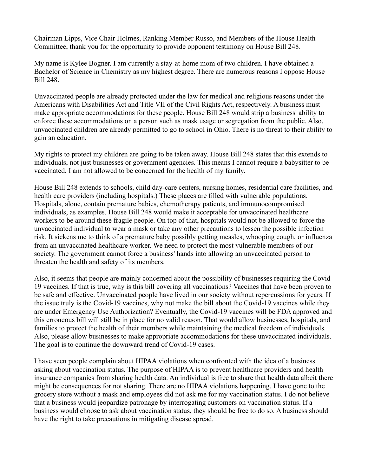Chairman Lipps, Vice Chair Holmes, Ranking Member Russo, and Members of the House Health Committee, thank you for the opportunity to provide opponent testimony on House Bill 248.

My name is Kylee Bogner. I am currently a stay-at-home mom of two children. I have obtained a Bachelor of Science in Chemistry as my highest degree. There are numerous reasons I oppose House Bill 248.

Unvaccinated people are already protected under the law for medical and religious reasons under the Americans with Disabilities Act and Title VII of the Civil Rights Act, respectively. A business must make appropriate accommodations for these people. House Bill 248 would strip a business' ability to enforce these accommodations on a person such as mask usage or segregation from the public. Also, unvaccinated children are already permitted to go to school in Ohio. There is no threat to their ability to gain an education.

My rights to protect my children are going to be taken away. House Bill 248 states that this extends to individuals, not just businesses or government agencies. This means I cannot require a babysitter to be vaccinated. I am not allowed to be concerned for the health of my family.

House Bill 248 extends to schools, child day-care centers, nursing homes, residential care facilities, and health care providers (including hospitals.) These places are filled with vulnerable populations. Hospitals, alone, contain premature babies, chemotherapy patients, and immunocompromised individuals, as examples. House Bill 248 would make it acceptable for unvaccinated healthcare workers to be around these fragile people. On top of that, hospitals would not be allowed to force the unvaccinated individual to wear a mask or take any other precautions to lessen the possible infection risk. It sickens me to think of a premature baby possibly getting measles, whooping cough, or influenza from an unvaccinated healthcare worker. We need to protect the most vulnerable members of our society. The government cannot force a business' hands into allowing an unvaccinated person to threaten the health and safety of its members.

Also, it seems that people are mainly concerned about the possibility of businesses requiring the Covid-19 vaccines. If that is true, why is this bill covering all vaccinations? Vaccines that have been proven to be safe and effective. Unvaccinated people have lived in our society without repercussions for years. If the issue truly is the Covid-19 vaccines, why not make the bill about the Covid-19 vaccines while they are under Emergency Use Authorization? Eventually, the Covid-19 vaccines will be FDA approved and this erroneous bill will still be in place for no valid reason. That would allow businesses, hospitals, and families to protect the health of their members while maintaining the medical freedom of individuals. Also, please allow businesses to make appropriate accommodations for these unvaccinated individuals. The goal is to continue the downward trend of Covid-19 cases.

I have seen people complain about HIPAA violations when confronted with the idea of a business asking about vaccination status. The purpose of HIPAA is to prevent healthcare providers and health insurance companies from sharing health data. An individual is free to share that health data albeit there might be consequences for not sharing. There are no HIPAA violations happening. I have gone to the grocery store without a mask and employees did not ask me for my vaccination status. I do not believe that a business would jeopardize patronage by interrogating customers on vaccination status. If a business would choose to ask about vaccination status, they should be free to do so. A business should have the right to take precautions in mitigating disease spread.